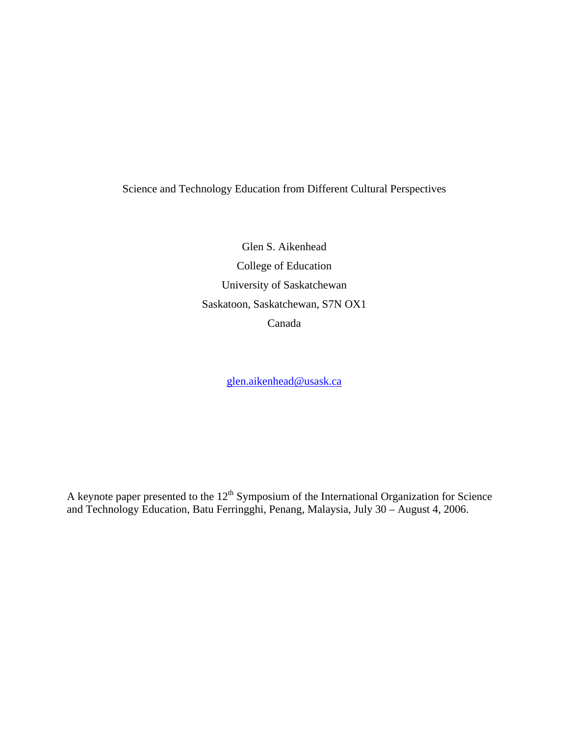# Science and Technology Education from Different Cultural Perspectives

Glen S. Aikenhead College of Education University of Saskatchewan Saskatoon, Saskatchewan, S7N OX1 Canada

glen.aikenhead@usask.ca

A keynote paper presented to the  $12<sup>th</sup>$  Symposium of the International Organization for Science and Technology Education, Batu Ferringghi, Penang, Malaysia, July 30 – August 4, 2006.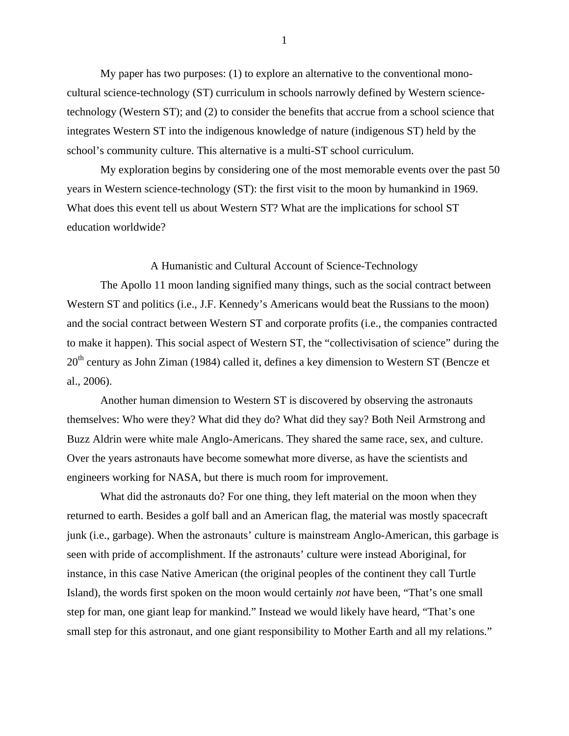My paper has two purposes: (1) to explore an alternative to the conventional monocultural science-technology (ST) curriculum in schools narrowly defined by Western sciencetechnology (Western ST); and (2) to consider the benefits that accrue from a school science that integrates Western ST into the indigenous knowledge of nature (indigenous ST) held by the school's community culture. This alternative is a multi-ST school curriculum.

 My exploration begins by considering one of the most memorable events over the past 50 years in Western science-technology (ST): the first visit to the moon by humankind in 1969. What does this event tell us about Western ST? What are the implications for school ST education worldwide?

## A Humanistic and Cultural Account of Science-Technology

 The Apollo 11 moon landing signified many things, such as the social contract between Western ST and politics (i.e., J.F. Kennedy's Americans would beat the Russians to the moon) and the social contract between Western ST and corporate profits (i.e., the companies contracted to make it happen). This social aspect of Western ST, the "collectivisation of science" during the 20<sup>th</sup> century as John Ziman (1984) called it, defines a key dimension to Western ST (Bencze et al., 2006).

 Another human dimension to Western ST is discovered by observing the astronauts themselves: Who were they? What did they do? What did they say? Both Neil Armstrong and Buzz Aldrin were white male Anglo-Americans. They shared the same race, sex, and culture. Over the years astronauts have become somewhat more diverse, as have the scientists and engineers working for NASA, but there is much room for improvement.

What did the astronauts do? For one thing, they left material on the moon when they returned to earth. Besides a golf ball and an American flag, the material was mostly spacecraft junk (i.e., garbage). When the astronauts' culture is mainstream Anglo-American, this garbage is seen with pride of accomplishment. If the astronauts' culture were instead Aboriginal, for instance, in this case Native American (the original peoples of the continent they call Turtle Island), the words first spoken on the moon would certainly *not* have been, "That's one small step for man, one giant leap for mankind." Instead we would likely have heard, "That's one small step for this astronaut, and one giant responsibility to Mother Earth and all my relations."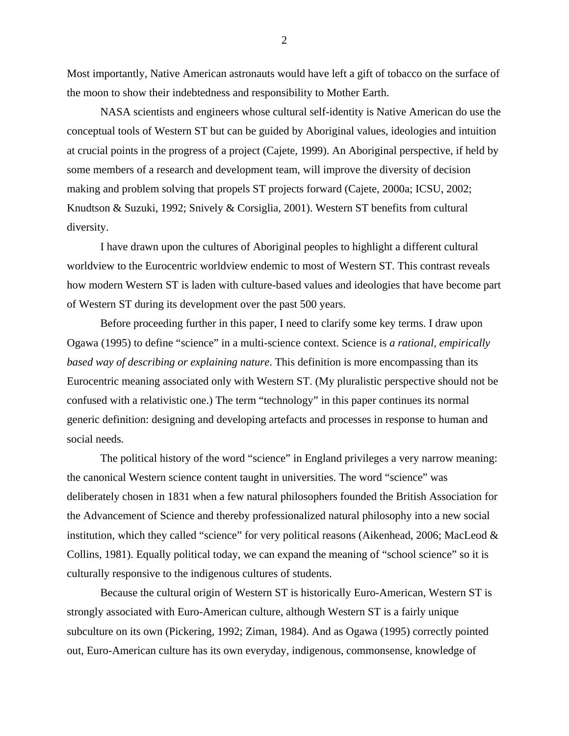Most importantly, Native American astronauts would have left a gift of tobacco on the surface of the moon to show their indebtedness and responsibility to Mother Earth.

 NASA scientists and engineers whose cultural self-identity is Native American do use the conceptual tools of Western ST but can be guided by Aboriginal values, ideologies and intuition at crucial points in the progress of a project (Cajete, 1999). An Aboriginal perspective, if held by some members of a research and development team, will improve the diversity of decision making and problem solving that propels ST projects forward (Cajete, 2000a; ICSU, 2002; Knudtson & Suzuki, 1992; Snively & Corsiglia, 2001). Western ST benefits from cultural diversity.

 I have drawn upon the cultures of Aboriginal peoples to highlight a different cultural worldview to the Eurocentric worldview endemic to most of Western ST. This contrast reveals how modern Western ST is laden with culture-based values and ideologies that have become part of Western ST during its development over the past 500 years.

 Before proceeding further in this paper, I need to clarify some key terms. I draw upon Ogawa (1995) to define "science" in a multi-science context. Science is *a rational, empirically based way of describing or explaining nature*. This definition is more encompassing than its Eurocentric meaning associated only with Western ST. (My pluralistic perspective should not be confused with a relativistic one.) The term "technology" in this paper continues its normal generic definition: designing and developing artefacts and processes in response to human and social needs.

 The political history of the word "science" in England privileges a very narrow meaning: the canonical Western science content taught in universities. The word "science" was deliberately chosen in 1831 when a few natural philosophers founded the British Association for the Advancement of Science and thereby professionalized natural philosophy into a new social institution, which they called "science" for very political reasons (Aikenhead, 2006; MacLeod & Collins, 1981). Equally political today, we can expand the meaning of "school science" so it is culturally responsive to the indigenous cultures of students.

 Because the cultural origin of Western ST is historically Euro-American, Western ST is strongly associated with Euro-American culture, although Western ST is a fairly unique subculture on its own (Pickering, 1992; Ziman, 1984). And as Ogawa (1995) correctly pointed out, Euro-American culture has its own everyday, indigenous, commonsense, knowledge of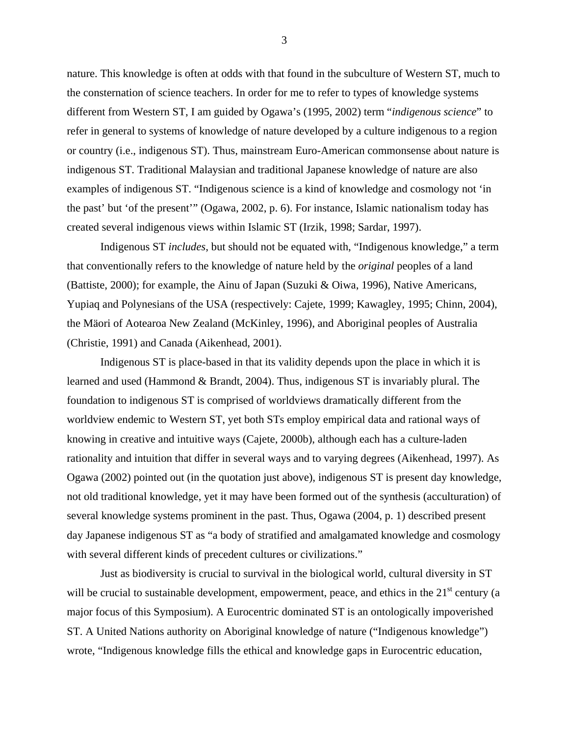nature. This knowledge is often at odds with that found in the subculture of Western ST, much to the consternation of science teachers. In order for me to refer to types of knowledge systems different from Western ST, I am guided by Ogawa's (1995, 2002) term "*indigenous science*" to refer in general to systems of knowledge of nature developed by a culture indigenous to a region or country (i.e., indigenous ST). Thus, mainstream Euro-American commonsense about nature is indigenous ST. Traditional Malaysian and traditional Japanese knowledge of nature are also examples of indigenous ST. "Indigenous science is a kind of knowledge and cosmology not 'in the past' but 'of the present'" (Ogawa, 2002, p. 6). For instance, Islamic nationalism today has created several indigenous views within Islamic ST (Irzik, 1998; Sardar, 1997).

 Indigenous ST *includes*, but should not be equated with, "Indigenous knowledge," a term that conventionally refers to the knowledge of nature held by the *original* peoples of a land (Battiste, 2000); for example, the Ainu of Japan (Suzuki & Oiwa, 1996), Native Americans, Yupiaq and Polynesians of the USA (respectively: Cajete, 1999; Kawagley, 1995; Chinn, 2004), the Mäori of Aotearoa New Zealand (McKinley, 1996), and Aboriginal peoples of Australia (Christie, 1991) and Canada (Aikenhead, 2001).

 Indigenous ST is place-based in that its validity depends upon the place in which it is learned and used (Hammond & Brandt, 2004). Thus, indigenous ST is invariably plural. The foundation to indigenous ST is comprised of worldviews dramatically different from the worldview endemic to Western ST, yet both STs employ empirical data and rational ways of knowing in creative and intuitive ways (Cajete, 2000b), although each has a culture-laden rationality and intuition that differ in several ways and to varying degrees (Aikenhead, 1997). As Ogawa (2002) pointed out (in the quotation just above), indigenous ST is present day knowledge, not old traditional knowledge, yet it may have been formed out of the synthesis (acculturation) of several knowledge systems prominent in the past. Thus, Ogawa (2004, p. 1) described present day Japanese indigenous ST as "a body of stratified and amalgamated knowledge and cosmology with several different kinds of precedent cultures or civilizations."

 Just as biodiversity is crucial to survival in the biological world, cultural diversity in ST will be crucial to sustainable development, empowerment, peace, and ethics in the 21<sup>st</sup> century (a major focus of this Symposium). A Eurocentric dominated ST is an ontologically impoverished ST. A United Nations authority on Aboriginal knowledge of nature ("Indigenous knowledge") wrote, "Indigenous knowledge fills the ethical and knowledge gaps in Eurocentric education,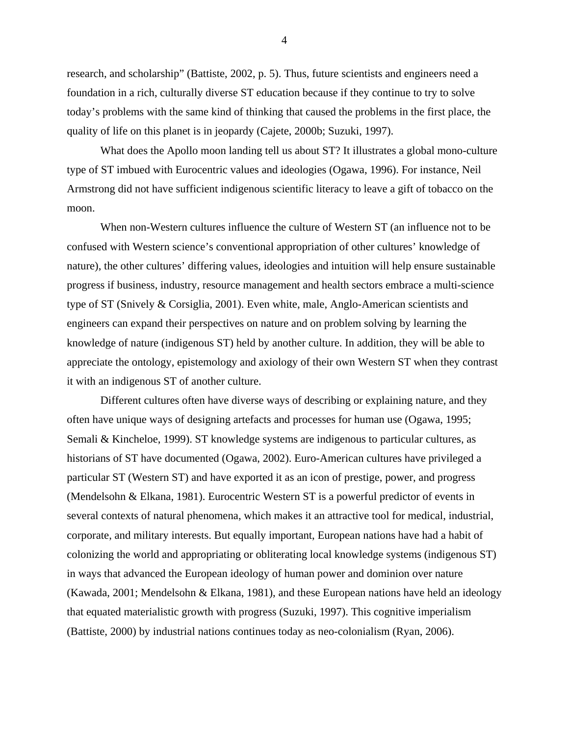research, and scholarship" (Battiste, 2002, p. 5). Thus, future scientists and engineers need a foundation in a rich, culturally diverse ST education because if they continue to try to solve today's problems with the same kind of thinking that caused the problems in the first place, the quality of life on this planet is in jeopardy (Cajete, 2000b; Suzuki, 1997).

 What does the Apollo moon landing tell us about ST? It illustrates a global mono-culture type of ST imbued with Eurocentric values and ideologies (Ogawa, 1996). For instance, Neil Armstrong did not have sufficient indigenous scientific literacy to leave a gift of tobacco on the moon.

 When non-Western cultures influence the culture of Western ST (an influence not to be confused with Western science's conventional appropriation of other cultures' knowledge of nature), the other cultures' differing values, ideologies and intuition will help ensure sustainable progress if business, industry, resource management and health sectors embrace a multi-science type of ST (Snively & Corsiglia, 2001). Even white, male, Anglo-American scientists and engineers can expand their perspectives on nature and on problem solving by learning the knowledge of nature (indigenous ST) held by another culture. In addition, they will be able to appreciate the ontology, epistemology and axiology of their own Western ST when they contrast it with an indigenous ST of another culture.

 Different cultures often have diverse ways of describing or explaining nature, and they often have unique ways of designing artefacts and processes for human use (Ogawa, 1995; Semali & Kincheloe, 1999). ST knowledge systems are indigenous to particular cultures, as historians of ST have documented (Ogawa, 2002). Euro-American cultures have privileged a particular ST (Western ST) and have exported it as an icon of prestige, power, and progress (Mendelsohn & Elkana, 1981). Eurocentric Western ST is a powerful predictor of events in several contexts of natural phenomena, which makes it an attractive tool for medical, industrial, corporate, and military interests. But equally important, European nations have had a habit of colonizing the world and appropriating or obliterating local knowledge systems (indigenous ST) in ways that advanced the European ideology of human power and dominion over nature (Kawada, 2001; Mendelsohn & Elkana, 1981), and these European nations have held an ideology that equated materialistic growth with progress (Suzuki, 1997). This cognitive imperialism (Battiste, 2000) by industrial nations continues today as neo-colonialism (Ryan, 2006).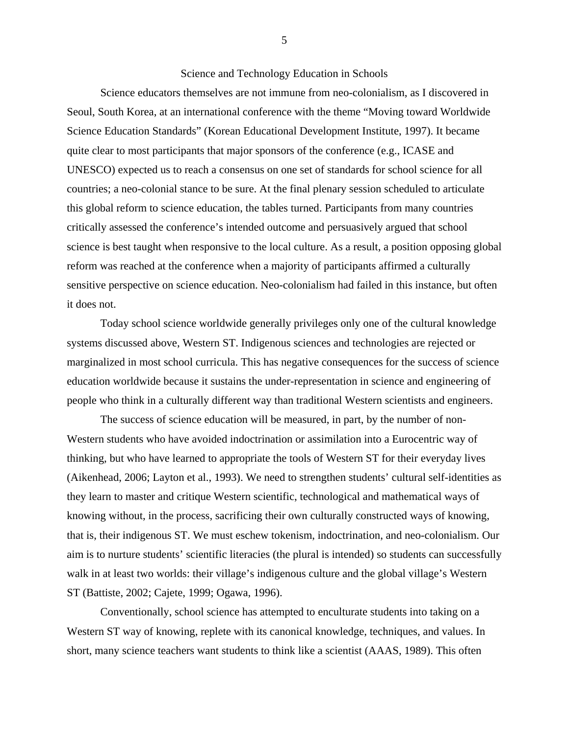## Science and Technology Education in Schools

 Science educators themselves are not immune from neo-colonialism, as I discovered in Seoul, South Korea, at an international conference with the theme "Moving toward Worldwide Science Education Standards" (Korean Educational Development Institute, 1997). It became quite clear to most participants that major sponsors of the conference (e.g., ICASE and UNESCO) expected us to reach a consensus on one set of standards for school science for all countries; a neo-colonial stance to be sure. At the final plenary session scheduled to articulate this global reform to science education, the tables turned. Participants from many countries critically assessed the conference's intended outcome and persuasively argued that school science is best taught when responsive to the local culture. As a result, a position opposing global reform was reached at the conference when a majority of participants affirmed a culturally sensitive perspective on science education. Neo-colonialism had failed in this instance, but often it does not.

 Today school science worldwide generally privileges only one of the cultural knowledge systems discussed above, Western ST. Indigenous sciences and technologies are rejected or marginalized in most school curricula. This has negative consequences for the success of science education worldwide because it sustains the under-representation in science and engineering of people who think in a culturally different way than traditional Western scientists and engineers.

 The success of science education will be measured, in part, by the number of non-Western students who have avoided indoctrination or assimilation into a Eurocentric way of thinking, but who have learned to appropriate the tools of Western ST for their everyday lives (Aikenhead, 2006; Layton et al., 1993). We need to strengthen students' cultural self-identities as they learn to master and critique Western scientific, technological and mathematical ways of knowing without, in the process, sacrificing their own culturally constructed ways of knowing, that is, their indigenous ST. We must eschew tokenism, indoctrination, and neo-colonialism. Our aim is to nurture students' scientific literacies (the plural is intended) so students can successfully walk in at least two worlds: their village's indigenous culture and the global village's Western ST (Battiste, 2002; Cajete, 1999; Ogawa, 1996).

 Conventionally, school science has attempted to enculturate students into taking on a Western ST way of knowing, replete with its canonical knowledge, techniques, and values. In short, many science teachers want students to think like a scientist (AAAS, 1989). This often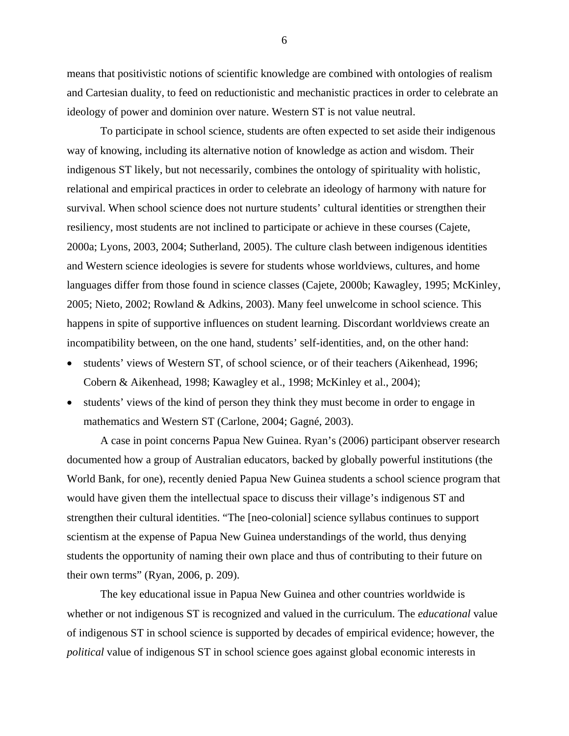means that positivistic notions of scientific knowledge are combined with ontologies of realism and Cartesian duality, to feed on reductionistic and mechanistic practices in order to celebrate an ideology of power and dominion over nature. Western ST is not value neutral.

 To participate in school science, students are often expected to set aside their indigenous way of knowing, including its alternative notion of knowledge as action and wisdom. Their indigenous ST likely, but not necessarily, combines the ontology of spirituality with holistic, relational and empirical practices in order to celebrate an ideology of harmony with nature for survival. When school science does not nurture students' cultural identities or strengthen their resiliency, most students are not inclined to participate or achieve in these courses (Cajete, 2000a; Lyons, 2003, 2004; Sutherland, 2005). The culture clash between indigenous identities and Western science ideologies is severe for students whose worldviews, cultures, and home languages differ from those found in science classes (Cajete, 2000b; Kawagley, 1995; McKinley, 2005; Nieto, 2002; Rowland & Adkins, 2003). Many feel unwelcome in school science. This happens in spite of supportive influences on student learning. Discordant worldviews create an incompatibility between, on the one hand, students' self-identities, and, on the other hand:

- students' views of Western ST, of school science, or of their teachers (Aikenhead, 1996; Cobern & Aikenhead, 1998; Kawagley et al., 1998; McKinley et al., 2004);
- students' views of the kind of person they think they must become in order to engage in mathematics and Western ST (Carlone, 2004; Gagné, 2003).

 A case in point concerns Papua New Guinea. Ryan's (2006) participant observer research documented how a group of Australian educators, backed by globally powerful institutions (the World Bank, for one), recently denied Papua New Guinea students a school science program that would have given them the intellectual space to discuss their village's indigenous ST and strengthen their cultural identities. "The [neo-colonial] science syllabus continues to support scientism at the expense of Papua New Guinea understandings of the world, thus denying students the opportunity of naming their own place and thus of contributing to their future on their own terms" (Ryan, 2006, p. 209).

 The key educational issue in Papua New Guinea and other countries worldwide is whether or not indigenous ST is recognized and valued in the curriculum. The *educational* value of indigenous ST in school science is supported by decades of empirical evidence; however, the *political* value of indigenous ST in school science goes against global economic interests in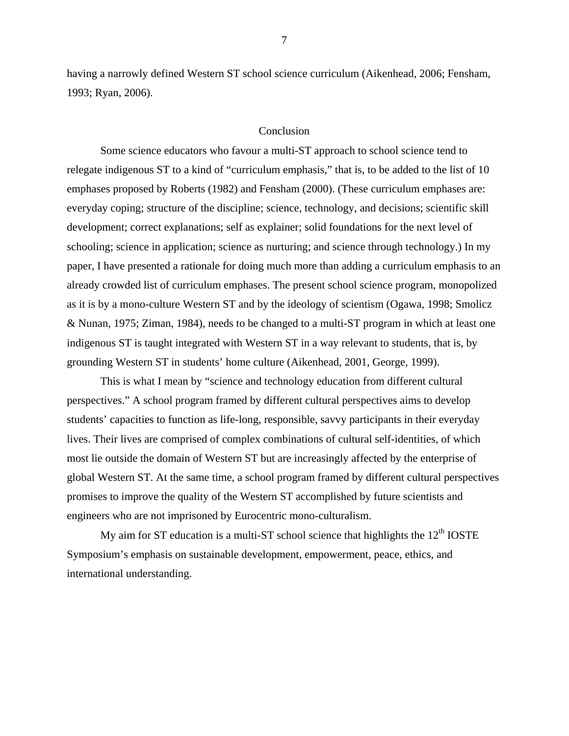having a narrowly defined Western ST school science curriculum (Aikenhead, 2006; Fensham, 1993; Ryan, 2006).

#### Conclusion

 Some science educators who favour a multi-ST approach to school science tend to relegate indigenous ST to a kind of "curriculum emphasis," that is, to be added to the list of 10 emphases proposed by Roberts (1982) and Fensham (2000). (These curriculum emphases are: everyday coping; structure of the discipline; science, technology, and decisions; scientific skill development; correct explanations; self as explainer; solid foundations for the next level of schooling; science in application; science as nurturing; and science through technology.) In my paper, I have presented a rationale for doing much more than adding a curriculum emphasis to an already crowded list of curriculum emphases. The present school science program, monopolized as it is by a mono-culture Western ST and by the ideology of scientism (Ogawa, 1998; Smolicz & Nunan, 1975; Ziman, 1984), needs to be changed to a multi-ST program in which at least one indigenous ST is taught integrated with Western ST in a way relevant to students, that is, by grounding Western ST in students' home culture (Aikenhead, 2001, George, 1999).

 This is what I mean by "science and technology education from different cultural perspectives." A school program framed by different cultural perspectives aims to develop students' capacities to function as life-long, responsible, savvy participants in their everyday lives. Their lives are comprised of complex combinations of cultural self-identities, of which most lie outside the domain of Western ST but are increasingly affected by the enterprise of global Western ST. At the same time, a school program framed by different cultural perspectives promises to improve the quality of the Western ST accomplished by future scientists and engineers who are not imprisoned by Eurocentric mono-culturalism.

My aim for ST education is a multi-ST school science that highlights the  $12<sup>th</sup>$  IOSTE Symposium's emphasis on sustainable development, empowerment, peace, ethics, and international understanding.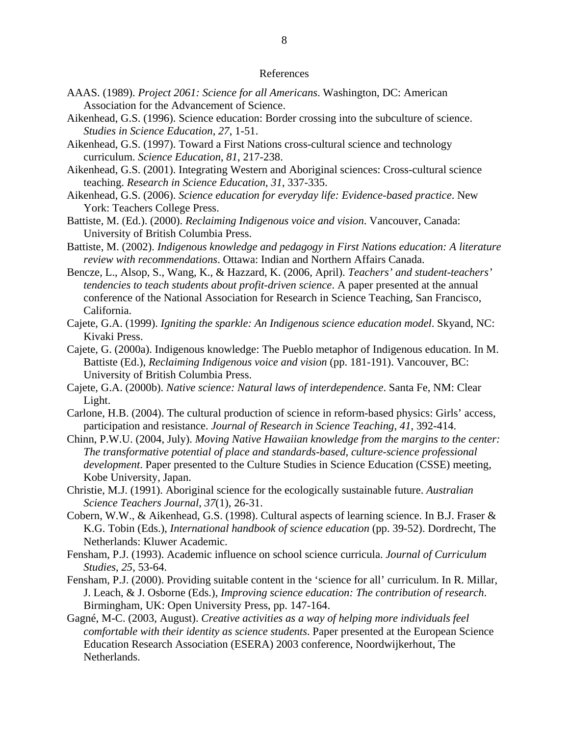#### References

- AAAS. (1989). *Project 2061: Science for all Americans*. Washington, DC: American Association for the Advancement of Science.
- Aikenhead, G.S. (1996). Science education: Border crossing into the subculture of science. *Studies in Science Education*, *27*, 1-51.
- Aikenhead, G.S. (1997). Toward a First Nations cross-cultural science and technology curriculum. *Science Education*, *81*, 217-238.
- Aikenhead, G.S. (2001). Integrating Western and Aboriginal sciences: Cross-cultural science teaching. *Research in Science Education*, *31*, 337-335.
- Aikenhead, G.S. (2006). *Science education for everyday life: Evidence-based practice*. New York: Teachers College Press.
- Battiste, M. (Ed.). (2000). *Reclaiming Indigenous voice and vision*. Vancouver, Canada: University of British Columbia Press.
- Battiste, M. (2002). *Indigenous knowledge and pedagogy in First Nations education: A literature review with recommendations*. Ottawa: Indian and Northern Affairs Canada.
- Bencze, L., Alsop, S., Wang, K., & Hazzard, K. (2006, April). *Teachers' and student-teachers' tendencies to teach students about profit-driven science*. A paper presented at the annual conference of the National Association for Research in Science Teaching, San Francisco, California.
- Cajete, G.A. (1999). *Igniting the sparkle: An Indigenous science education model*. Skyand, NC: Kivaki Press.
- Cajete, G. (2000a). Indigenous knowledge: The Pueblo metaphor of Indigenous education. In M. Battiste (Ed.), *Reclaiming Indigenous voice and vision* (pp. 181-191). Vancouver, BC: University of British Columbia Press.
- Cajete, G.A. (2000b). *Native science: Natural laws of interdependence*. Santa Fe, NM: Clear Light.
- Carlone, H.B. (2004). The cultural production of science in reform-based physics: Girls' access, participation and resistance. *Journal of Research in Science Teaching*, *41*, 392-414.
- Chinn, P.W.U. (2004, July). *Moving Native Hawaiian knowledge from the margins to the center: The transformative potential of place and standards-based, culture-science professional development*. Paper presented to the Culture Studies in Science Education (CSSE) meeting, Kobe University, Japan.
- Christie, M.J. (1991). Aboriginal science for the ecologically sustainable future. *Australian Science Teachers Journal*, *37*(1), 26-31.
- Cobern, W.W., & Aikenhead, G.S. (1998). Cultural aspects of learning science. In B.J. Fraser & K.G. Tobin (Eds.), *International handbook of science education* (pp. 39-52). Dordrecht, The Netherlands: Kluwer Academic.
- Fensham, P.J. (1993). Academic influence on school science curricula. *Journal of Curriculum Studies*, *25*, 53-64.
- Fensham, P.J. (2000). Providing suitable content in the 'science for all' curriculum. In R. Millar, J. Leach, & J. Osborne (Eds.), *Improving science education: The contribution of research*. Birmingham, UK: Open University Press, pp. 147-164.
- Gagné, M-C. (2003, August). *Creative activities as a way of helping more individuals feel comfortable with their identity as science students*. Paper presented at the European Science Education Research Association (ESERA) 2003 conference, Noordwijkerhout, The Netherlands.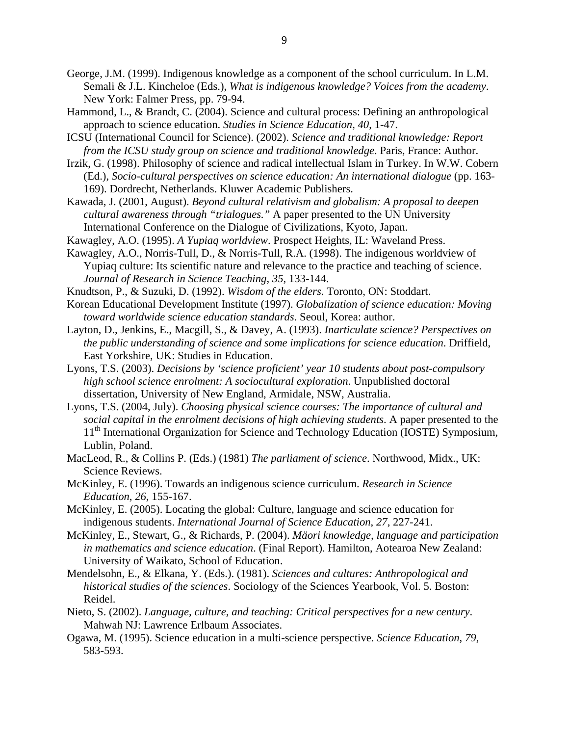- George, J.M. (1999). Indigenous knowledge as a component of the school curriculum. In L.M. Semali & J.L. Kincheloe (Eds.), *What is indigenous knowledge? Voices from the academy*. New York: Falmer Press, pp. 79-94.
- Hammond, L., & Brandt, C. (2004). Science and cultural process: Defining an anthropological approach to science education. *Studies in Science Education*, *40*, 1-47.
- ICSU (International Council for Science). (2002). *Science and traditional knowledge: Report from the ICSU study group on science and traditional knowledge*. Paris, France: Author.
- Irzik, G. (1998). Philosophy of science and radical intellectual Islam in Turkey. In W.W. Cobern (Ed.), *Socio-cultural perspectives on science education: An international dialogue* (pp. 163- 169). Dordrecht, Netherlands. Kluwer Academic Publishers.
- Kawada, J. (2001, August). *Beyond cultural relativism and globalism: A proposal to deepen cultural awareness through "trialogues."* A paper presented to the UN University International Conference on the Dialogue of Civilizations, Kyoto, Japan.
- Kawagley, A.O. (1995). *A Yupiaq worldview*. Prospect Heights, IL: Waveland Press.
- Kawagley, A.O., Norris-Tull, D., & Norris-Tull, R.A. (1998). The indigenous worldview of Yupiaq culture: Its scientific nature and relevance to the practice and teaching of science. *Journal of Research in Science Teaching*, *35*, 133-144.
- Knudtson, P., & Suzuki, D. (1992). *Wisdom of the elders*. Toronto, ON: Stoddart.
- Korean Educational Development Institute (1997). *Globalization of science education: Moving toward worldwide science education standards*. Seoul, Korea: author.
- Layton, D., Jenkins, E., Macgill, S., & Davey, A. (1993). *Inarticulate science? Perspectives on the public understanding of science and some implications for science education*. Driffield, East Yorkshire, UK: Studies in Education.
- Lyons, T.S. (2003). *Decisions by 'science proficient' year 10 students about post-compulsory high school science enrolment: A sociocultural exploration*. Unpublished doctoral dissertation, University of New England, Armidale, NSW, Australia.
- Lyons, T.S. (2004, July). *Choosing physical science courses: The importance of cultural and social capital in the enrolment decisions of high achieving students*. A paper presented to the 11<sup>th</sup> International Organization for Science and Technology Education (IOSTE) Symposium, Lublin, Poland.
- MacLeod, R., & Collins P. (Eds.) (1981) *The parliament of science*. Northwood, Midx., UK: Science Reviews.
- McKinley, E. (1996). Towards an indigenous science curriculum. *Research in Science Education*, *26*, 155-167.
- McKinley, E. (2005). Locating the global: Culture, language and science education for indigenous students. *International Journal of Science Education*, *27*, 227-241.
- McKinley, E., Stewart, G., & Richards, P. (2004). *Mäori knowledge, language and participation in mathematics and science education*. (Final Report). Hamilton, Aotearoa New Zealand: University of Waikato, School of Education.
- Mendelsohn, E., & Elkana, Y. (Eds.). (1981). *Sciences and cultures: Anthropological and historical studies of the sciences*. Sociology of the Sciences Yearbook, Vol. 5. Boston: Reidel.
- Nieto, S. (2002). *Language, culture, and teaching: Critical perspectives for a new century*. Mahwah NJ: Lawrence Erlbaum Associates.
- Ogawa, M. (1995). Science education in a multi-science perspective. *Science Education*, *79*, 583-593.